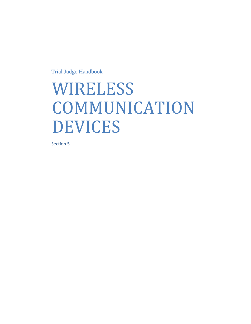Trial Judge Handbook

# WIRELESS COMMUNICATION DEVICES

Section 5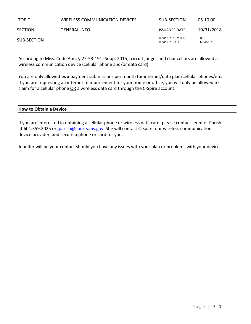| <b>TOPIC</b> | WIRELESS COMMUNICATION DEVICES | SUB-SECTION                                    | 05.10.00          |
|--------------|--------------------------------|------------------------------------------------|-------------------|
| SECTION      | <b>GENERAL INFO</b>            | <b>ISSUANCE DATE</b>                           | 10/31/2018        |
| SUB-SECTION  |                                | <b>REVISION NUMBER</b><br><b>REVISION DATE</b> | 001<br>11/04/2021 |

According to Miss. Code Ann. § 25-53-191 (Supp. 2015), circuit judges and chancellors are allowed a wireless communication device (cellular phone and/or data card).

You are only allowed **two** payment submissions per month for internet/data plan/cellular phones/etc. If you are requesting an internet reimbursement for your home or office, you will only be allowed to claim for a cellular phone OR a wireless data card through the C-Spire account.

## **How to Obtain a Device**

If you are interested in obtaining a cellular phone or wireless data card, please contact Jennifer Parish at 601.359.2025 or [jparish@courts.ms.gov.](mailto:jparish@courts.ms.gov) She will contact C-Spire, our wireless communication device provider, and secure a phone or card for you.

Jennifer will be your contact should you have any issues with your plan or problems with your device.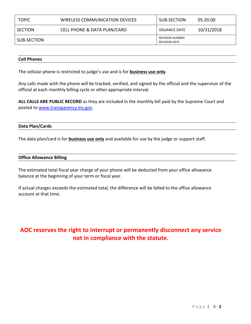| <b>TOPIC</b> | WIRELESS COMMUNICATION DEVICES | SUB-SECTION                                    | 05.20.00   |
|--------------|--------------------------------|------------------------------------------------|------------|
| SECTION      | CELL PHONE & DATA PLAN/CARD    | <b>ISSUANCE DATE</b>                           | 10/31/2018 |
| SUB-SECTION  |                                | <b>REVISION NUMBER</b><br><b>REVISION DATE</b> |            |

### **Cell Phones**

The cellular phone is restricted to judge's use and is for **business use only**.

Any calls made with the phone will be tracked, verified, and signed by the official and the supervisor of the official at each monthly billing cycle or other appropriate interval.

**ALL CALLS ARE PUBLIC RECORD** as they are included in the monthly bill paid by the Supreme Court and posted to [www.transparency.ms.gov.](http://www.transparency.ms.gov/)

#### **Data Plan/Cards**

The data plan/card is for **business use only** and available for use by the judge or support staff.

#### **Office Allowance Billing**

The estimated total fiscal year charge of your phone will be deducted from your office allowance balance at the beginning of your term or fiscal year.

If actual charges exceeds the estimated total, the difference will be billed to the office allowance account at that time.

# **AOC reserves the right to interrupt or permanently disconnect any service not in compliance with the statute.**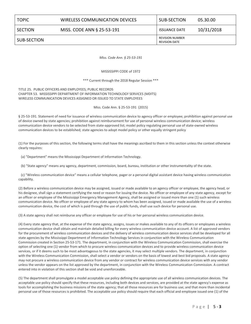SECTION MISS. CODE ANN § 25-53-191 ISSUANCE DATE 10/31/2018

SUB-SECTION REVISION NUMBER REVISION DATE

*Miss. Code Ann. § 25-53-191*

MISSISSIPPI CODE of 1972

\*\*\* Current through the 2018 Regular Session \*\*\*

TITLE 25. PUBLIC OFFICERS AND EMPLOYEES; PUBLIC RECORDS CHAPTER 53. MISSISSIPPI DEPARTMENT OF INFORMATION TECHNOLOGY SERVICES (MDITS) WIRELESS COMMUNICATION DEVICES ASSIGNED OR ISSUED TO STATE EMPLOYEES

Miss. Code Ann. § 25-53-191 (2015)

§ 25-53-191. Statement of need for issuance of wireless communication device to agency officer or employee; prohibition against personal use of device owned by state agencies; prohibition against reimbursement for use of personal wireless communication device; wireless communication device vendors to be selected from state-approved list; model policy regulating personal use of state-owned wireless communication devices to be established; state agencies to adopt model policy or other equally stringent policy

(1) For the purposes of this section, the following terms shall have the meanings ascribed to them in this section unless the context otherwise clearly requires:

(a) "Department" means the Mississippi Department of Information Technology.

(b) "State agency" means any agency, department, commission, board, bureau, institution or other instrumentality of the state.

 (c) "Wireless communication device" means a cellular telephone, pager or a personal digital assistant device having wireless communication capability.

(2) Before a wireless communication device may be assigned, issued or made available to an agency officer or employee, the agency head, or his designee, shall sign a statement certifying the need or reason for issuing the device. No officer or employee of any state agency, except for an officer or employee of the Mississippi Emergency Management Agency, shall be assigned or issued more than one (1) such wireless communication device. No officer or employee of any state agency to whom has been assigned, issued or made available the use of a wireless communication device, the cost of which is paid through the use of public funds, shall use such device for personal use.

(3) A state agency shall not reimburse any officer or employee for use of his or her personal wireless communication device.

(4) Every state agency that, at the expense of the state agency, assigns, issues or makes available to any of its officers or employees a wireless communication device shall obtain and maintain detailed billing for every wireless communication device account. A list of approved vendors for the procurement of wireless communication devices and the delivery of wireless communication device services shall be developed for all state agencies by the Mississippi Department of Information Technology Services in conjunction with the Wireless Communication Commission created in Section 25-53-171. The department, in conjunction with the Wireless Communication Commission, shall exercise the option of selecting one (1) vendor from which to procure wireless communication devices and to provide wireless communication device services, or if it deems such to be most advantageous to the state agencies, it may select multiple vendors. The department, in conjunction with the Wireless Communication Commission, shall select a vendor or vendors on the basis of lowest and best bid proposals. A state agency may not procure a wireless communication device from any vendor or contract for wireless communication device services with any vendor unless the vendor appears on the list approved by the department, in conjunction with the Wireless Communication Commission. A contract entered into in violation of this section shall be void and unenforceable.

(5) The department shall promulgate a model acceptable use policy defining the appropriate use of all wireless communication devices. The acceptable use policy should specify that these resources, including both devices and services, are provided at the state agency's expense as tools for accomplishing the business missions of the state agency; that all those resources are for business use; and that more than incidental personal use of those resources is prohibited. The acceptable use policy should require that each official and employee issued one (1) of the